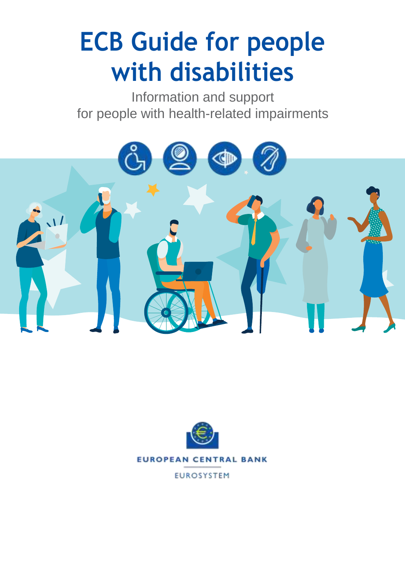# **ECB Guide for people with disabilities**

Information and support for people with health-related impairments





**EUROSYSTEM**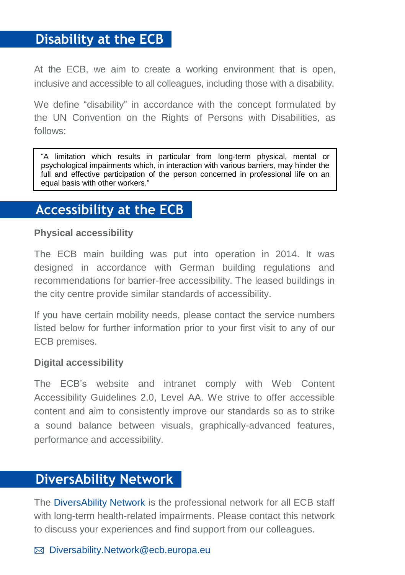# **Disability at the ECB**

At the ECB, we aim to create a working environment that is open, inclusive and accessible to all colleagues, including those with a disability.

We define "disability" in accordance with the concept formulated by the UN Convention on the Rights of Persons with Disabilities, as follows:

"A limitation which results in particular from long-term physical, mental or psychological impairments which, in interaction with various barriers, may hinder the full and effective participation of the person concerned in professional life on an equal basis with other workers."

# **Accessibility at the ECB**

#### **Physical accessibility**

The ECB main building was put into operation in 2014. It was designed in accordance with German building regulations and recommendations for barrier-free accessibility. The leased buildings in the city centre provide similar standards of accessibility.

If you have certain mobility needs, please contact the service numbers listed below for further information prior to your first visit to any of our ECB premises.

#### **Digital accessibility**

The ECB's website and intranet comply with Web Content Accessibility Guidelines 2.0, Level AA. We strive to offer accessible content and aim to consistently improve our standards so as to strike a sound balance between visuals, graphically-advanced features, performance and accessibility.

## **DiversAbility Network**

The DiversAbility Network is the professional network for all ECB staff with long-term health-related impairments. Please contact this network to discuss your experiences and find support from our colleagues.

 $\boxtimes$  [Diversability.Network@ecb.europa.eu](mailto:Diversability.Network@ecb.europa.eu)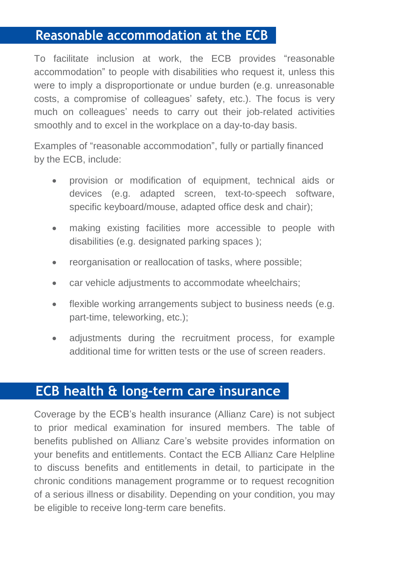# **Reasonable accommodation at the ECB**

To facilitate inclusion at work, the ECB provides "reasonable accommodation" to people with disabilities who request it, unless this were to imply a disproportionate or undue burden (e.g. unreasonable costs, a compromise of colleagues' safety, etc.). The focus is very much on colleagues' needs to carry out their job-related activities smoothly and to excel in the workplace on a day-to-day basis.

Examples of "reasonable accommodation", fully or partially financed by the ECB, include:

- provision or modification of equipment, technical aids or devices (e.g. adapted screen, text-to-speech software, specific keyboard/mouse, adapted office desk and chair);
- making existing facilities more accessible to people with disabilities (e.g. designated parking spaces );
- reorganisation or reallocation of tasks, where possible;
- car vehicle adjustments to accommodate wheelchairs;
- flexible working arrangements subject to business needs (e.g. part-time, teleworking, etc.);
- adjustments during the recruitment process, for example additional time for written tests or the use of screen readers.

# **ECB health & long-term care insurance**

Coverage by the ECB's health insurance (Allianz Care) is not subject to prior medical examination for insured members. The table of benefits published on Allianz Care's website provides information on your benefits and entitlements. Contact the ECB Allianz Care Helpline to discuss benefits and entitlements in detail, to participate in the chronic conditions management programme or to request recognition of a serious illness or disability. Depending on your condition, you may be eligible to receive long-term care benefits.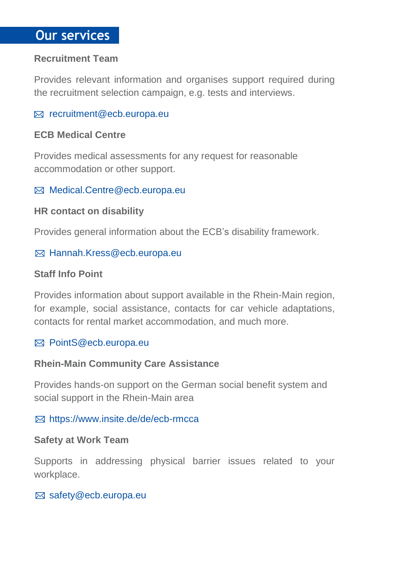# **Our services**

#### **Recruitment Team**

Provides relevant information and organises support required during the recruitment selection campaign, e.g. tests and interviews.

#### $\boxtimes$  [recruitment@ecb.europa.eu](mailto:Diversability.Network@ecb.europa.eu)

#### **ECB Medical Centre**

Provides medical assessments for any request for reasonable accommodation or other support.

#### $\boxtimes$  [Medical.Centre@ecb.europa.eu](mailto:Medical.Centre@ecb.europa.eu)

#### **HR contact on disability**

Provides general information about the ECB's disability framework.

#### [Hannah.Kress@ecb.europa.eu](mailto:Hannah.Kress@ecb.europa.eu)

#### **Staff Info Point**

Provides information about support available in the Rhein-Main region, for example, social assistance, contacts for car vehicle adaptations, contacts for rental market accommodation, and much more.

#### Point[S@ecb.europa.eu](mailto:Diversability.Network@ecb.europa.eu)

#### **Rhein-Main Community Care Assistance**

Provides hands-on support on the German social benefit system and social support in the Rhein-Main area

#### https://www.insite.de/de/ecb-rmcca

#### **Safety at Work Team**

Supports in addressing physical barrier issues related to your workplace.

#### ⊠ [safety@ecb.europa.eu](mailto:safety@ecb.europa.eu)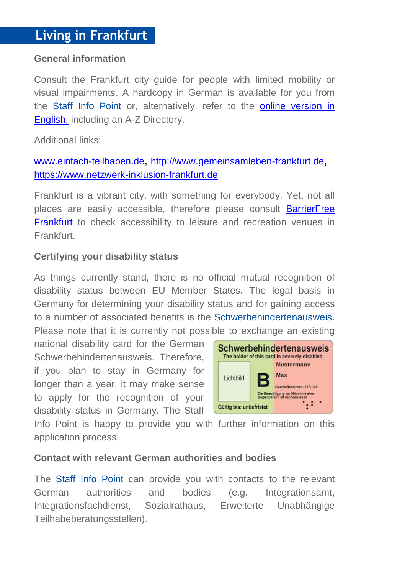#### **General information**

Consult the Frankfurt city guide for people with limited mobility or visual impairments. A hardcopy in German is available for you from the Staff Info Point or, alternatively, refer to the [online version in](https://www.frankfurt-inklusiv.de/online-stadtfuehrer.html?L=1)  [English,](https://www.frankfurt-inklusiv.de/online-stadtfuehrer.html?L=1) including an A-Z Directory.

#### Additional links:

## [www.einfach-teilhaben.de](http://www.einfach-teilhaben.de/), [http://www.gemeinsamleben-frankfurt.de](http://www.gemeinsamleben-frankfurt.de/), [https://www.netzwerk-inklusion-frankfurt.de](https://www.netzwerk-inklusion-frankfurt.de/)

Frankfurt is a vibrant city, with something for everybody. Yet, not all places are easily accessible, therefore please consult [BarrierFree](https://www.germany.travel/en/ms/barrier-free-germany/where-to-go/frankfurt.htm)  [Frankfurt](https://www.germany.travel/en/ms/barrier-free-germany/where-to-go/frankfurt.htm) to check accessibility to leisure and recreation venues in **Frankfurt** 

#### **Certifying your disability status**

As things currently stand, there is no official mutual recognition of disability status between EU Member States. The legal basis in Germany for determining your disability status and for gaining access to a number of associated benefits is the Schwerbehindertenausweis. Please note that it is currently not possible to exchange an existing

national disability card for the German Schwerbehindertenausweis. Therefore, if you plan to stay in Germany for longer than a year, it may make sense to apply for the recognition of your disability status in Germany. The Staff



Info Point is happy to provide you with further information on this application process.

#### **Contact with relevant German authorities and bodies**

The Staff Info Point can provide you with contacts to the relevant German authorities and bodies (e.g. Integrationsamt, Integrationsfachdienst, Sozialrathaus, Erweiterte Unabhängige Teilhabeberatungsstellen).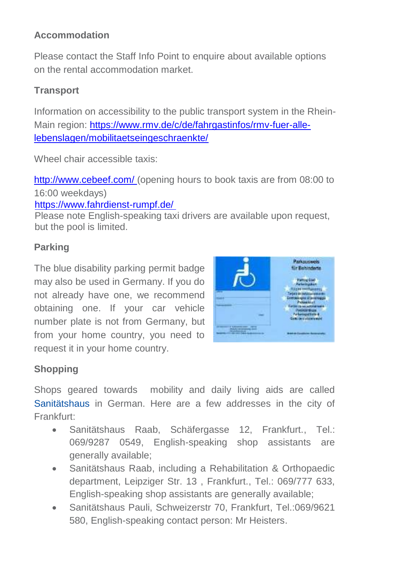## **Accommodation**

Please contact the Staff Info Point to enquire about available options on the rental accommodation market.

### **Transport**

Information on accessibility to the public transport system in the Rhein-Main region: [https://www.rmv.de/c/de/fahrgastinfos/rmv-fuer-alle](https://www.rmv.de/c/de/fahrgastinfos/rmv-fuer-alle-lebenslagen/mobilitaetseingeschraenkte/)[lebenslagen/mobilitaetseingeschraenkte/](https://www.rmv.de/c/de/fahrgastinfos/rmv-fuer-alle-lebenslagen/mobilitaetseingeschraenkte/)

Wheel chair accessible taxis:

<http://www.cebeef.com/> (opening hours to book taxis are from 08:00 to 16:00 weekdays)

<https://www.fahrdienst-rumpf.de/>

Please note English-speaking taxi drivers are available upon request, but the pool is limited.

## **Parking**

The blue disability parking permit badge may also be used in Germany. If you do not already have one, we recommend obtaining one. If your car vehicle number plate is not from Germany, but from your home country, you need to request it in your home country.



## **Shopping**

Shops geared towards mobility and daily living aids are called Sanitätshaus in German. Here are a few addresses in the city of Frankfurt:

- Sanitätshaus Raab, Schäfergasse 12, Frankfurt., Tel.: 069/9287 0549, English-speaking shop assistants are generally available;
- Sanitätshaus Raab, including a Rehabilitation & Orthopaedic department, Leipziger Str. 13 , Frankfurt., Tel.: 069/777 633, English-speaking shop assistants are generally available;
- Sanitätshaus Pauli, Schweizerstr 70, Frankfurt, Tel.:069/9621 580, English-speaking contact person: Mr Heisters.